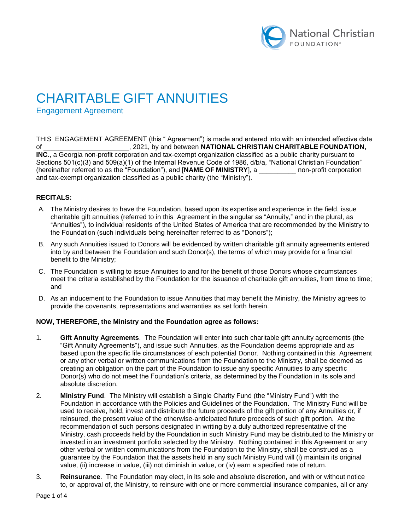

# CHARITABLE GIFT ANNUITIES

Engagement Agreement

THIS ENGAGEMENT AGREEMENT (this " Agreement") is made and entered into with an intended effective date of \_\_\_\_\_\_\_\_\_\_\_\_\_\_\_\_\_\_\_\_\_\_\_, 2021, by and between **NATIONAL CHRISTIAN CHARITABLE FOUNDATION, INC**., a Georgia non-profit corporation and tax-exempt organization classified as a public charity pursuant to Sections 501(c)(3) and 509(a)(1) of the Internal Revenue Code of 1986, d/b/a, "National Christian Foundation" (hereinafter referred to as the "Foundation"), and [**NAME OF MINISTRY**], a \_\_\_\_\_\_\_\_\_\_ non-profit corporation and tax-exempt organization classified as a public charity (the "Ministry").

## **RECITALS:**

- A. The Ministry desires to have the Foundation, based upon its expertise and experience in the field, issue charitable gift annuities (referred to in this Agreement in the singular as "Annuity," and in the plural, as "Annuities"), to individual residents of the United States of America that are recommended by the Ministry to the Foundation (such individuals being hereinafter referred to as "Donors");
- B. Any such Annuities issued to Donors will be evidenced by written charitable gift annuity agreements entered into by and between the Foundation and such Donor(s), the terms of which may provide for a financial benefit to the Ministry;
- C. The Foundation is willing to issue Annuities to and for the benefit of those Donors whose circumstances meet the criteria established by the Foundation for the issuance of charitable gift annuities, from time to time; and
- D. As an inducement to the Foundation to issue Annuities that may benefit the Ministry, the Ministry agrees to provide the covenants, representations and warranties as set forth herein.

#### **NOW, THEREFORE, the Ministry and the Foundation agree as follows:**

- 1. **Gift Annuity Agreements**. The Foundation will enter into such charitable gift annuity agreements (the "Gift Annuity Agreements"), and issue such Annuities, as the Foundation deems appropriate and as based upon the specific life circumstances of each potential Donor. Nothing contained in this Agreement or any other verbal or written communications from the Foundation to the Ministry, shall be deemed as creating an obligation on the part of the Foundation to issue any specific Annuities to any specific Donor(s) who do not meet the Foundation's criteria, as determined by the Foundation in its sole and absolute discretion.
- 2. **Ministry Fund**. The Ministry will establish a Single Charity Fund (the "Ministry Fund") with the Foundation in accordance with the Policies and Guidelines of the Foundation. The Ministry Fund will be used to receive, hold, invest and distribute the future proceeds of the gift portion of any Annuities or, if reinsured, the present value of the otherwise-anticipated future proceeds of such gift portion. At the recommendation of such persons designated in writing by a duly authorized representative of the Ministry, cash proceeds held by the Foundation in such Ministry Fund may be distributed to the Ministry or invested in an investment portfolio selected by the Ministry. Nothing contained in this Agreement or any other verbal or written communications from the Foundation to the Ministry, shall be construed as a guarantee by the Foundation that the assets held in any such Ministry Fund will (i) maintain its original value, (ii) increase in value, (iii) not diminish in value, or (iv) earn a specified rate of return.
- 3. **Reinsurance**. The Foundation may elect, in its sole and absolute discretion, and with or without notice to, or approval of, the Ministry, to reinsure with one or more commercial insurance companies, all or any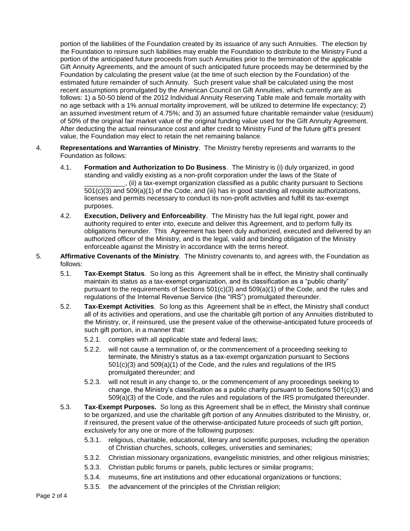portion of the liabilities of the Foundation created by its issuance of any such Annuities. The election by the Foundation to reinsure such liabilities may enable the Foundation to distribute to the Ministry Fund a portion of the anticipated future proceeds from such Annuities prior to the termination of the applicable Gift Annuity Agreements, and the amount of such anticipated future proceeds may be determined by the Foundation by calculating the present value (at the time of such election by the Foundation) of the estimated future remainder of such Annuity. Such present value shall be calculated using the most recent assumptions promulgated by the American Council on Gift Annuities, which currently are as follows: 1) a 50-50 blend of the 2012 Individual Annuity Reserving Table male and female mortality with no age setback with a 1% annual mortality improvement, will be utilized to determine life expectancy; 2) an assumed investment return of 4.75%; and 3) an assumed future charitable remainder value (residuum) of 50% of the original fair market value of the original funding value used for the Gift Annuity Agreement. After deducting the actual reinsurance cost and after credit to Ministry Fund of the future gift's present value, the Foundation may elect to retain the net remaining balance.

- 4. **Representations and Warranties of Ministry**. The Ministry hereby represents and warrants to the Foundation as follows:
	- 4.1. **Formation and Authorization to Do Business**. The Ministry is (i) duly organized, in good standing and validly existing as a non-profit corporation under the laws of the State of \_\_\_\_\_\_\_\_\_\_\_, (ii) a tax-exempt organization classified as a public charity pursuant to Sections 501(c)(3) and 509(a)(1) of the Code, and (iii) has in good standing all requisite authorizations, licenses and permits necessary to conduct its non-profit activities and fulfill its tax-exempt purposes.
	- 4.2. **Execution, Delivery and Enforceability**. The Ministry has the full legal right, power and authority required to enter into, execute and deliver this Agreement, and to perform fully its obligations hereunder. This Agreement has been duly authorized, executed and delivered by an authorized officer of the Ministry, and is the legal, valid and binding obligation of the Ministry enforceable against the Ministry in accordance with the terms hereof.
- 5. **Affirmative Covenants of the Ministry**. The Ministry covenants to, and agrees with, the Foundation as follows:
	- 5.1. **Tax-Exempt Status**. So long as this Agreement shall be in effect, the Ministry shall continually maintain its status as a tax-exempt organization, and its classification as a "public charity" pursuant to the requirements of Sections  $501(c)(3)$  and  $509(a)(1)$  of the Code, and the rules and regulations of the Internal Revenue Service (the "IRS") promulgated thereunder.
	- 5.2. **Tax-Exempt Activities**. So long as this Agreement shall be in effect, the Ministry shall conduct all of its activities and operations, and use the charitable gift portion of any Annuities distributed to the Ministry, or, if reinsured, use the present value of the otherwise-anticipated future proceeds of such gift portion, in a manner that:
		- 5.2.1. complies with all applicable state and federal laws;
		- 5.2.2. will not cause a termination of, or the commencement of a proceeding seeking to terminate, the Ministry's status as a tax-exempt organization pursuant to Sections 501(c)(3) and 509(a)(1) of the Code, and the rules and regulations of the IRS promulgated thereunder; and
		- 5.2.3. will not result in any change to, or the commencement of any proceedings seeking to change, the Ministry's classification as a public charity pursuant to Sections 501(c)(3) and 509(a)(3) of the Code, and the rules and regulations of the IRS promulgated thereunder.
	- 5.3. **Tax-Exempt Purposes.** So long as this Agreement shall be in effect, the Ministry shall continue to be organized, and use the charitable gift portion of any Annuities distributed to the Ministry, or, if reinsured, the present value of the otherwise-anticipated future proceeds of such gift portion, exclusively for any one or more of the following purposes:
		- 5.3.1. religious, charitable, educational, literary and scientific purposes, including the operation of Christian churches, schools, colleges, universities and seminaries;
		- 5.3.2. Christian missionary organizations, evangelistic ministries, and other religious ministries;
		- 5.3.3. Christian public forums or panels, public lectures or similar programs;
		- 5.3.4. museums, fine art institutions and other educational organizations or functions;
		- 5.3.5. the advancement of the principles of the Christian religion;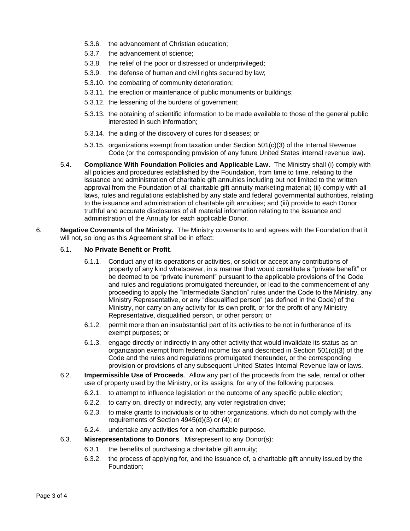- 5.3.6. the advancement of Christian education;
- 5.3.7. the advancement of science;
- 5.3.8. the relief of the poor or distressed or underprivileged;
- 5.3.9. the defense of human and civil rights secured by law;
- 5.3.10. the combating of community deterioration;
- 5.3.11. the erection or maintenance of public monuments or buildings;
- 5.3.12. the lessening of the burdens of government;
- 5.3.13. the obtaining of scientific information to be made available to those of the general public interested in such information;
- 5.3.14. the aiding of the discovery of cures for diseases; or
- 5.3.15. organizations exempt from taxation under Section 501(c)(3) of the Internal Revenue Code (or the corresponding provision of any future United States internal revenue law).
- 5.4. **Compliance With Foundation Policies and Applicable Law**. The Ministry shall (i) comply with all policies and procedures established by the Foundation, from time to time, relating to the issuance and administration of charitable gift annuities including but not limited to the written approval from the Foundation of all charitable gift annuity marketing material; (ii) comply with all laws, rules and regulations established by any state and federal governmental authorities, relating to the issuance and administration of charitable gift annuities; and (iii) provide to each Donor truthful and accurate disclosures of all material information relating to the issuance and administration of the Annuity for each applicable Donor.
- 6. **Negative Covenants of the Ministry.** The Ministry covenants to and agrees with the Foundation that it will not, so long as this Agreement shall be in effect:

### 6.1. **No Private Benefit or Profit**.

- 6.1.1. Conduct any of its operations or activities, or solicit or accept any contributions of property of any kind whatsoever, in a manner that would constitute a "private benefit" or be deemed to be "private inurement" pursuant to the applicable provisions of the Code and rules and regulations promulgated thereunder, or lead to the commencement of any proceeding to apply the "Intermediate Sanction" rules under the Code to the Ministry, any Ministry Representative, or any "disqualified person" (as defined in the Code) of the Ministry, nor carry on any activity for its own profit, or for the profit of any Ministry Representative, disqualified person, or other person; or
- 6.1.2. permit more than an insubstantial part of its activities to be not in furtherance of its exempt purposes; or
- 6.1.3. engage directly or indirectly in any other activity that would invalidate its status as an organization exempt from federal income tax and described in Section 501(c)(3) of the Code and the rules and regulations promulgated thereunder, or the corresponding provision or provisions of any subsequent United States Internal Revenue law or laws.
- 6.2. **Impermissible Use of Proceeds**. Allow any part of the proceeds from the sale, rental or other use of property used by the Ministry, or its assigns, for any of the following purposes:
	- 6.2.1. to attempt to influence legislation or the outcome of any specific public election;
	- 6.2.2. to carry on, directly or indirectly, any voter registration drive;
	- 6.2.3. to make grants to individuals or to other organizations, which do not comply with the requirements of Section 4945(d)(3) or (4); or
	- 6.2.4. undertake any activities for a non-charitable purpose.
- 6.3. **Misrepresentations to Donors**. Misrepresent to any Donor(s):
	- 6.3.1. the benefits of purchasing a charitable gift annuity;
	- 6.3.2. the process of applying for, and the issuance of, a charitable gift annuity issued by the Foundation;